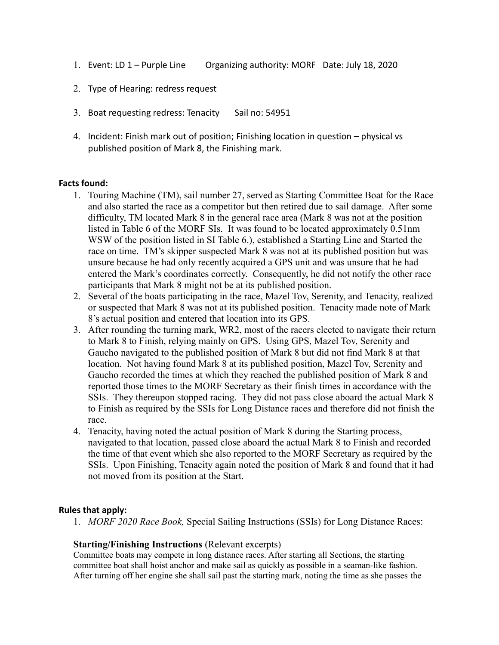- 1. Event: LD 1 Purple Line Organizing authority: MORF Date: July 18, 2020
- 2. Type of Hearing: redress request
- 3. Boat requesting redress: Tenacity Sail no: 54951
- 4. Incident: Finish mark out of position; Finishing location in question physical vs published position of Mark 8, the Finishing mark.

## **Facts found:**

- 1. Touring Machine (TM), sail number 27, served as Starting Committee Boat for the Race and also started the race as a competitor but then retired due to sail damage. After some difficulty, TM located Mark 8 in the general race area (Mark 8 was not at the position listed in Table 6 of the MORF SIs. It was found to be located approximately 0.51nm WSW of the position listed in SI Table 6.), established a Starting Line and Started the race on time. TM's skipper suspected Mark 8 was not at its published position but was unsure because he had only recently acquired a GPS unit and was unsure that he had entered the Mark's coordinates correctly. Consequently, he did not notify the other race participants that Mark 8 might not be at its published position.
- 2. Several of the boats participating in the race, Mazel Tov, Serenity, and Tenacity, realized or suspected that Mark 8 was not at its published position. Tenacity made note of Mark 8's actual position and entered that location into its GPS.
- 3. After rounding the turning mark, WR2, most of the racers elected to navigate their return to Mark 8 to Finish, relying mainly on GPS. Using GPS, Mazel Tov, Serenity and Gaucho navigated to the published position of Mark 8 but did not find Mark 8 at that location. Not having found Mark 8 at its published position, Mazel Tov, Serenity and Gaucho recorded the times at which they reached the published position of Mark 8 and reported those times to the MORF Secretary as their finish times in accordance with the SSIs. They thereupon stopped racing. They did not pass close aboard the actual Mark 8 to Finish as required by the SSIs for Long Distance races and therefore did not finish the race.
- 4. Tenacity, having noted the actual position of Mark 8 during the Starting process, navigated to that location, passed close aboard the actual Mark 8 to Finish and recorded the time of that event which she also reported to the MORF Secretary as required by the SSIs. Upon Finishing, Tenacity again noted the position of Mark 8 and found that it had not moved from its position at the Start.

## **Rules that apply:**

1. *MORF 2020 Race Book,* Special Sailing Instructions (SSIs) for Long Distance Races:

## **Starting/Finishing Instructions** (Relevant excerpts)

Committee boats may compete in long distance races. After starting all Sections, the starting committee boat shall hoist anchor and make sail as quickly as possible in a seaman-like fashion. After turning off her engine she shall sail past the starting mark, noting the time as she passes the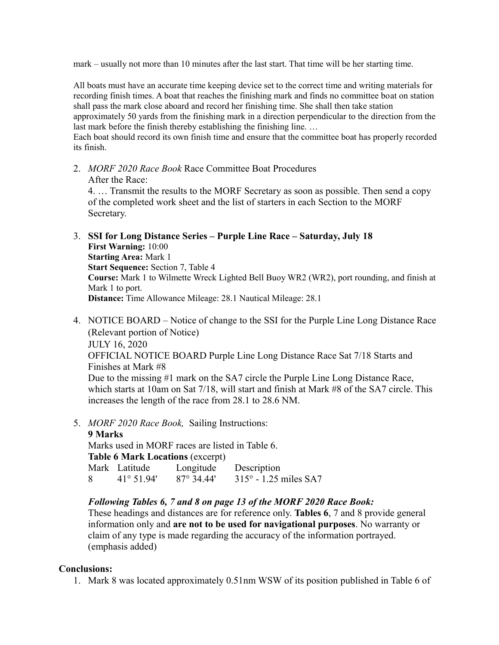mark – usually not more than 10 minutes after the last start. That time will be her starting time.

All boats must have an accurate time keeping device set to the correct time and writing materials for recording finish times. A boat that reaches the finishing mark and finds no committee boat on station shall pass the mark close aboard and record her finishing time. She shall then take station approximately 50 yards from the finishing mark in a direction perpendicular to the direction from the last mark before the finish thereby establishing the finishing line. …

Each boat should record its own finish time and ensure that the committee boat has properly recorded its finish.

2. *MORF 2020 Race Book* Race Committee Boat Procedures After the Race:

4. … Transmit the results to the MORF Secretary as soon as possible. Then send a copy of the completed work sheet and the list of starters in each Section to the MORF Secretary.

- 3. **SSI for Long Distance Series Purple Line Race Saturday, July 18 First Warning:** 10:00 **Starting Area:** Mark 1 **Start Sequence:** Section 7, Table 4 **Course:** Mark 1 to Wilmette Wreck Lighted Bell Buoy WR2 (WR2), port rounding, and finish at Mark 1 to port. **Distance:** Time Allowance Mileage: 28.1 Nautical Mileage: 28.1
- 4. NOTICE BOARD Notice of change to the SSI for the Purple Line Long Distance Race (Relevant portion of Notice) JULY 16, 2020 OFFICIAL NOTICE BOARD Purple Line Long Distance Race Sat 7/18 Starts and Finishes at Mark #8 Due to the missing #1 mark on the SA7 circle the Purple Line Long Distance Race, which starts at 10am on Sat 7/18, will start and finish at Mark #8 of the SA7 circle. This increases the length of the race from 28.1 to 28.6 NM.
- 5. *MORF 2020 Race Book,* Sailing Instructions:

**9 Marks** Marks used in MORF races are listed in Table 6. **Table 6 Mark Locations** (excerpt) Mark Latitude Longitude Description 8 41° 51.94' 87° 34.44' 315° - 1.25 miles SA7

## *Following Tables 6, 7 and 8 on page 13 of the MORF 2020 Race Book:*

These headings and distances are for reference only. **Tables 6**, 7 and 8 provide general information only and **are not to be used for navigational purposes**. No warranty or claim of any type is made regarding the accuracy of the information portrayed. (emphasis added)

## **Conclusions:**

1. Mark 8 was located approximately 0.51nm WSW of its position published in Table 6 of